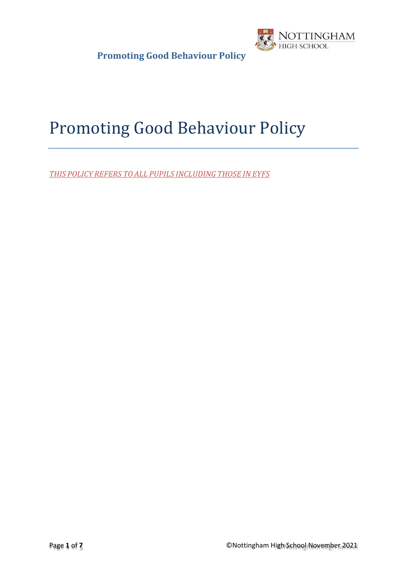

# Promoting Good Behaviour Policy

*THIS POLICY REFERS TO ALL PUPILS INCLUDING THOSE IN EYFS*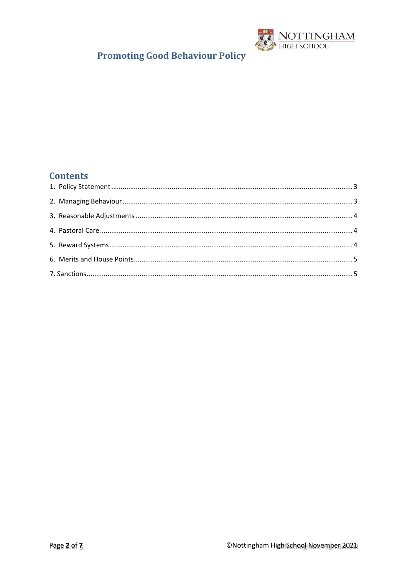

#### **Contents**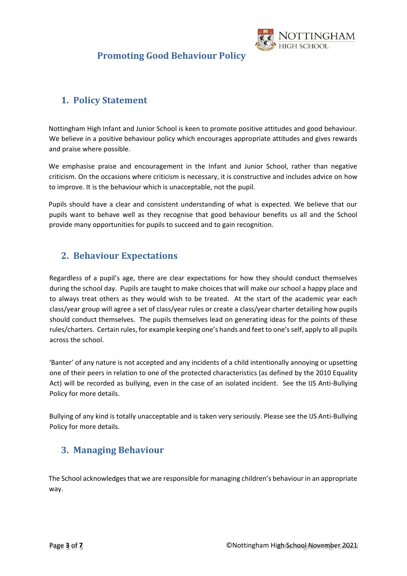

### <span id="page-2-0"></span>**1. Policy Statement**

Nottingham High Infant and Junior School is keen to promote positive attitudes and good behaviour. We believe in a positive behaviour policy which encourages appropriate attitudes and gives rewards and praise where possible.

We emphasise praise and encouragement in the Infant and Junior School, rather than negative criticism. On the occasions where criticism is necessary, it is constructive and includes advice on how to improve. It is the behaviour which is unacceptable, not the pupil.

Pupils should have a clear and consistent understanding of what is expected. We believe that our pupils want to behave well as they recognise that good behaviour benefits us all and the School provide many opportunities for pupils to succeed and to gain recognition.

#### <span id="page-2-1"></span>**2. Behaviour Expectations**

Regardless of a pupil's age, there are clear expectations for how they should conduct themselves during the school day. Pupils are taught to make choices that will make our school a happy place and to always treat others as they would wish to be treated. At the start of the academic year each class/year group will agree a set of class/year rules or create a class/year charter detailing how pupils should conduct themselves. The pupils themselves lead on generating ideas for the points of these rules/charters. Certain rules, for example keeping one's hands and feet to one's self, apply to all pupils across the school.

'Banter' of any nature is not accepted and any incidents of a child intentionally annoying or upsetting one of their peers in relation to one of the protected characteristics (as defined by the 2010 Equality Act) will be recorded as bullying, even in the case of an isolated incident. See the IJS Anti-Bullying Policy for more details.

Bullying of any kind is totally unacceptable and is taken very seriously. Please see the IJS Anti-Bullying Policy for more details.

### **3. Managing Behaviour**

The School acknowledges that we are responsible for managing children's behaviour in an appropriate way.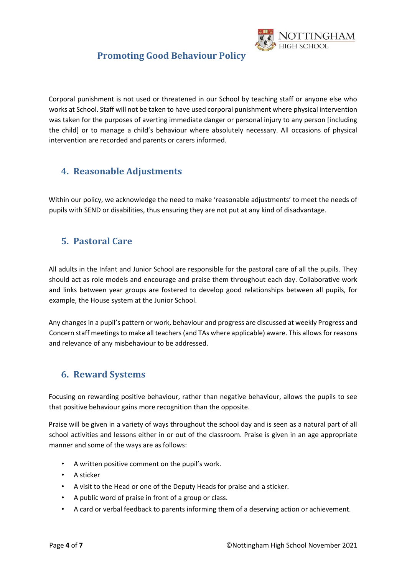

Corporal punishment is not used or threatened in our School by teaching staff or anyone else who works at School. Staff will not be taken to have used corporal punishment where physical intervention was taken for the purposes of averting immediate danger or personal injury to any person [including the child] or to manage a child's behaviour where absolutely necessary. All occasions of physical intervention are recorded and parents or carers informed.

#### <span id="page-3-0"></span>**4. Reasonable Adjustments**

Within our policy, we acknowledge the need to make 'reasonable adjustments' to meet the needs of pupils with SEND or disabilities, thus ensuring they are not put at any kind of disadvantage.

#### <span id="page-3-1"></span>**5. Pastoral Care**

All adults in the Infant and Junior School are responsible for the pastoral care of all the pupils. They should act as role models and encourage and praise them throughout each day. Collaborative work and links between year groups are fostered to develop good relationships between all pupils, for example, the House system at the Junior School.

Any changesin a pupil's pattern or work, behaviour and progress are discussed at weekly Progress and Concern staff meetings to make all teachers (and TAs where applicable) aware. This allows for reasons and relevance of any misbehaviour to be addressed.

#### <span id="page-3-2"></span>**6. Reward Systems**

Focusing on rewarding positive behaviour, rather than negative behaviour, allows the pupils to see that positive behaviour gains more recognition than the opposite.

Praise will be given in a variety of ways throughout the school day and is seen as a natural part of all school activities and lessons either in or out of the classroom. Praise is given in an age appropriate manner and some of the ways are as follows:

- A written positive comment on the pupil's work.
- A sticker
- A visit to the Head or one of the Deputy Heads for praise and a sticker.
- A public word of praise in front of a group or class.
- A card or verbal feedback to parents informing them of a deserving action or achievement.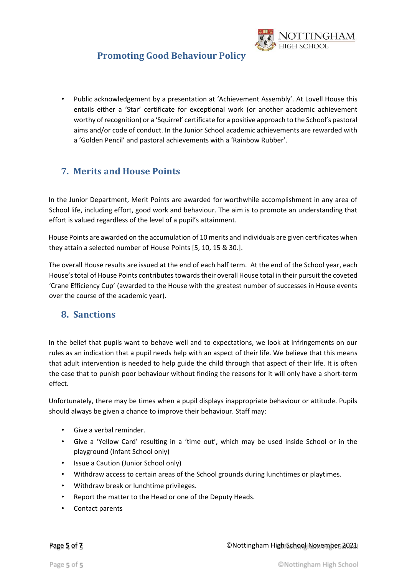

• Public acknowledgement by a presentation at 'Achievement Assembly'. At Lovell House this entails either a 'Star' certificate for exceptional work (or another academic achievement worthy of recognition) or a 'Squirrel' certificate for a positive approach to the School's pastoral aims and/or code of conduct. In the Junior School academic achievements are rewarded with a 'Golden Pencil' and pastoral achievements with a 'Rainbow Rubber'.

#### <span id="page-4-0"></span>**7. Merits and House Points**

In the Junior Department, Merit Points are awarded for worthwhile accomplishment in any area of School life, including effort, good work and behaviour. The aim is to promote an understanding that effort is valued regardless of the level of a pupil's attainment.

House Points are awarded on the accumulation of 10 merits and individuals are given certificates when they attain a selected number of House Points [5, 10, 15 & 30.].

The overall House results are issued at the end of each half term. At the end of the School year, each House'stotal of House Points contributes towards their overall House total in their pursuit the coveted 'Crane Efficiency Cup' (awarded to the House with the greatest number of successes in House events over the course of the academic year).

#### <span id="page-4-1"></span>**8. Sanctions**

In the belief that pupils want to behave well and to expectations, we look at infringements on our rules as an indication that a pupil needs help with an aspect of their life. We believe that this means that adult intervention is needed to help guide the child through that aspect of their life. It is often the case that to punish poor behaviour without finding the reasons for it will only have a short-term effect.

Unfortunately, there may be times when a pupil displays inappropriate behaviour or attitude. Pupils should always be given a chance to improve their behaviour. Staff may:

- Give a verbal reminder.
- Give a 'Yellow Card' resulting in a 'time out', which may be used inside School or in the playground (Infant School only)
- Issue a Caution (Junior School only)
- Withdraw access to certain areas of the School grounds during lunchtimes or playtimes.
- Withdraw break or lunchtime privileges.
- Report the matter to the Head or one of the Deputy Heads.
- Contact parents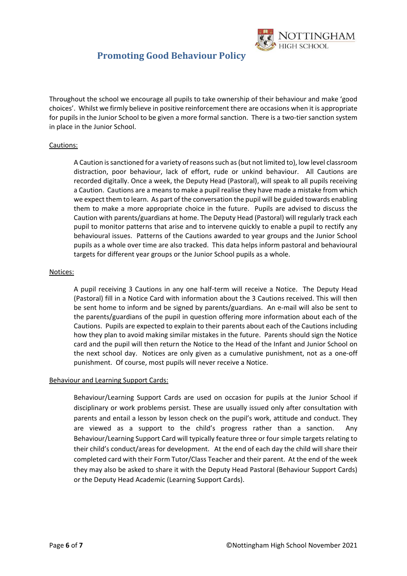

Throughout the school we encourage all pupils to take ownership of their behaviour and make 'good choices'. Whilst we firmly believe in positive reinforcement there are occasions when it is appropriate for pupils in the Junior School to be given a more formal sanction. There is a two-tier sanction system in place in the Junior School.

#### Cautions:

A Caution is sanctioned for a variety of reasons such as(but not limited to), low level classroom distraction, poor behaviour, lack of effort, rude or unkind behaviour. All Cautions are recorded digitally. Once a week, the Deputy Head (Pastoral), will speak to all pupils receiving a Caution. Cautions are a means to make a pupil realise they have made a mistake from which we expect them to learn. As part of the conversation the pupil will be guided towards enabling them to make a more appropriate choice in the future. Pupils are advised to discuss the Caution with parents/guardians at home. The Deputy Head (Pastoral) will regularly track each pupil to monitor patterns that arise and to intervene quickly to enable a pupil to rectify any behavioural issues. Patterns of the Cautions awarded to year groups and the Junior School pupils as a whole over time are also tracked. This data helps inform pastoral and behavioural targets for different year groups or the Junior School pupils as a whole.

#### Notices:

A pupil receiving 3 Cautions in any one half-term will receive a Notice. The Deputy Head (Pastoral) fill in a Notice Card with information about the 3 Cautions received. This will then be sent home to inform and be signed by parents/guardians. An e-mail will also be sent to the parents/guardians of the pupil in question offering more information about each of the Cautions. Pupils are expected to explain to their parents about each of the Cautions including how they plan to avoid making similar mistakes in the future. Parents should sign the Notice card and the pupil will then return the Notice to the Head of the Infant and Junior School on the next school day. Notices are only given as a cumulative punishment, not as a one-off punishment. Of course, most pupils will never receive a Notice.

#### Behaviour and Learning Support Cards:

Behaviour/Learning Support Cards are used on occasion for pupils at the Junior School if disciplinary or work problems persist. These are usually issued only after consultation with parents and entail a lesson by lesson check on the pupil's work, attitude and conduct. They are viewed as a support to the child's progress rather than a sanction. Any Behaviour/Learning Support Card will typically feature three or four simple targets relating to their child's conduct/areas for development. At the end of each day the child will share their completed card with their Form Tutor/Class Teacher and their parent. At the end of the week they may also be asked to share it with the Deputy Head Pastoral (Behaviour Support Cards) or the Deputy Head Academic (Learning Support Cards).